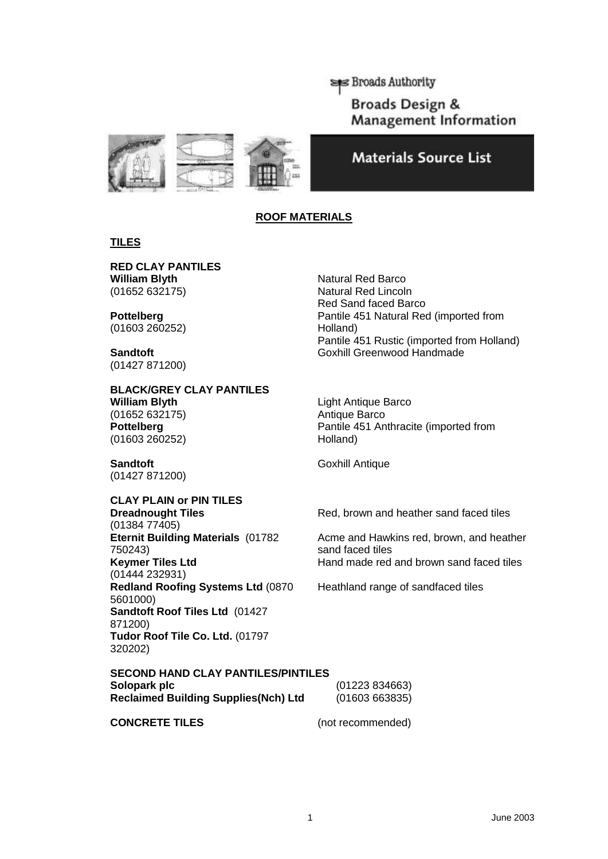**SPECIAL SET Broads Authority** 

Broads Design & **Management Information** 





# **ROOF MATERIALS**

# **TILES**

 **RED CLAY PANTILES William Blyth**  (01652 632175)

**Pottelberg**  (01603 260252)

**Sandtoft**  (01427 871200)

 **BLACK/GREY CLAY PANTILES William Blyth**  (01652 632175) **Pottelberg**  (01603 260252)

 **Sandtoft** (01427 871200)

# **CLAY PLAIN or PIN TILES**

 **Keymer Tiles Ltd Dreadnought Tiles**  (01384 77405) **Eternit Building Materials** (01782 750243) (01444 232931) **Redland Roofing Systems Ltd** (0870 5601000) **Sandtoft Roof Tiles Ltd** (01427 871200) **Tudor Roof Tile Co. Ltd.** (01797 320202)

Natural Red Barco Natural Red Lincoln Red Sand faced Barco Pantile 451 Natural Red (imported from Holland) Pantile 451 Rustic (imported from Holland) Goxhill Greenwood Handmade

Light Antique Barco Antique Barco Pantile 451 Anthracite (imported from Holland)

Goxhill Antique

Red, brown and heather sand faced tiles

 Acme and Hawkins red, brown, and heather sand faced tiles Hand made red and brown sand faced tiles

Heathland range of sandfaced tiles

# **SECOND HAND CLAY PANTILES/PINTILES**

| Solopark plc                                | (01223 834663) |
|---------------------------------------------|----------------|
| <b>Reclaimed Building Supplies(Nch) Ltd</b> | (01603663835)  |

# **CONCRETE TILES** (not recommended)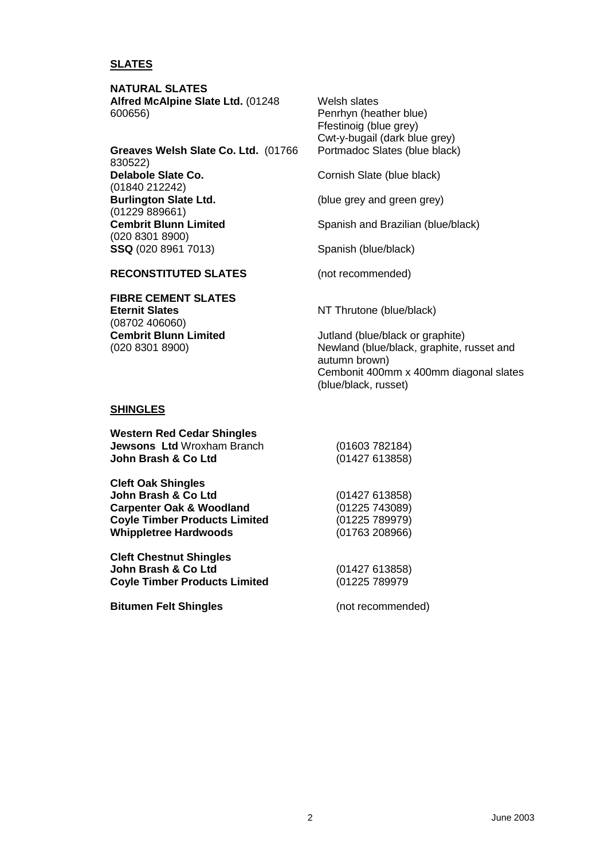# **SLATES**

**NATURAL SLATES Alfred McAlpine Slate Ltd.** (01248 600656)

 **Greaves Welsh Slate Co. Ltd.** (01766  **Cembrit Blunn Limited**  830522) **Delabole Slate Co.**  (01840 212242) **Burlington Slate Ltd.**  (01229 889661) (020 8301 8900) **SSQ** (020 8961 7013)

 Cwt-y-bugail (dark blue grey) Welsh slates Penrhyn (heather blue) Ffestinoig (blue grey) Portmadoc Slates (blue black)

Cornish Slate (blue black)

(blue grey and green grey)

Spanish and Brazilian (blue/black)

Spanish (blue/black)

(not recommended)

 **RECONSTITUTED SLATES** 

 **Cembrit Blunn Limited FIBRE CEMENT SLATES Eternit Slates**  (08702 406060) (020 8301 8900)

NT Thrutone (blue/black)

 Newland (blue/black, graphite, russet and Cembonit 400mm x 400mm diagonal slates Jutland (blue/black or graphite) autumn brown) (blue/black, russet)

#### **SHINGLES**

| <b>Western Red Cedar Shingles</b> |                |
|-----------------------------------|----------------|
| <b>Jewsons Ltd</b> Wroxham Branch | (01603 782184) |
| John Brash & Co Ltd               | (01427613858)  |

| (01427613858)  |
|----------------|
| (01225743089)  |
| (01225 789979) |
| (01763 208966) |
|                |

 **Cleft Chestnut Shingles John Brash & Co Ltd Coyle Timber Products Limited** 

**Bitumen Felt Shingles** 

(not recommended)

(01427 613858) (01225 789979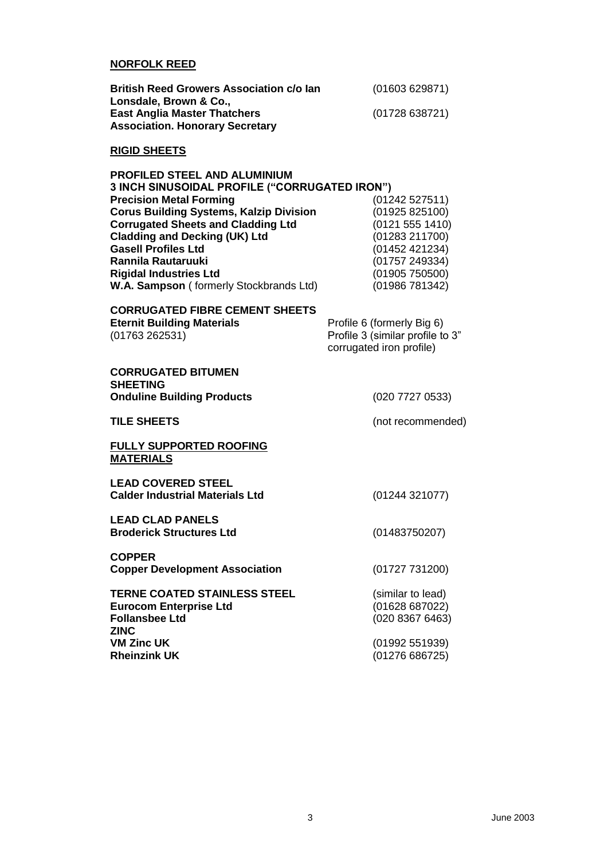#### **NORFOLK REED**

| <b>British Reed Growers Association c/o lan</b> | (01603629871) |
|-------------------------------------------------|---------------|
| Lonsdale. Brown & Co                            |               |
| <b>East Anglia Master Thatchers</b>             | (01728638721) |
| <b>Association. Honorary Secretary</b>          |               |

# **RIGID SHEETS**

| PROFILED STEEL AND ALUMINIUM                         |                 |
|------------------------------------------------------|-----------------|
| <b>3 INCH SINUSOIDAL PROFILE ("CORRUGATED IRON")</b> |                 |
| <b>Precision Metal Forming</b>                       | (01242527511)   |
| <b>Corus Building Systems, Kalzip Division</b>       | (01925 825100)  |
| <b>Corrugated Sheets and Cladding Ltd</b>            | (0121 555 1410) |
| <b>Cladding and Decking (UK) Ltd</b>                 | (01283 211700)  |
| <b>Gasell Profiles Ltd</b>                           | (01452 421234)  |
| Rannila Rautaruuki                                   | (01757 249334)  |
| <b>Rigidal Industries Ltd</b>                        | (01905750500)   |
| W.A. Sampson (formerly Stockbrands Ltd)              | (01986 781342)  |

| <b>CORRUGATED FIBRE CEMENT SHEETS</b> |                                                              |
|---------------------------------------|--------------------------------------------------------------|
| <b>Eternit Building Materials</b>     | Profile 6 (formerly Big 6)                                   |
| (01763262531)                         | Profile 3 (similar profile to 3"<br>corrugated iron profile) |

| <b>CORRUGATED BITUMEN</b><br><b>SHEETING</b><br><b>Onduline Building Products</b>                            | (020 7727 0533)                                        |
|--------------------------------------------------------------------------------------------------------------|--------------------------------------------------------|
|                                                                                                              |                                                        |
| <b>TILE SHEETS</b>                                                                                           | (not recommended)                                      |
| <b>FULLY SUPPORTED ROOFING</b><br><b>MATERIALS</b>                                                           |                                                        |
| <b>LEAD COVERED STEEL</b><br><b>Calder Industrial Materials Ltd</b>                                          | (01244 321077)                                         |
| LEAD CLAD PANELS<br><b>Broderick Structures Ltd</b>                                                          | (01483750207)                                          |
| <b>COPPER</b><br><b>Copper Development Association</b>                                                       | (01727 731200)                                         |
| <b>TERNE COATED STAINLESS STEEL</b><br><b>Eurocom Enterprise Ltd</b><br><b>Follansbee Ltd</b><br><b>ZINC</b> | (similar to lead)<br>(01628 687022)<br>(020 8367 6463) |
| <b>VM Zinc UK</b><br><b>Rheinzink UK</b>                                                                     | (01992 551939)<br>(01276686725)                        |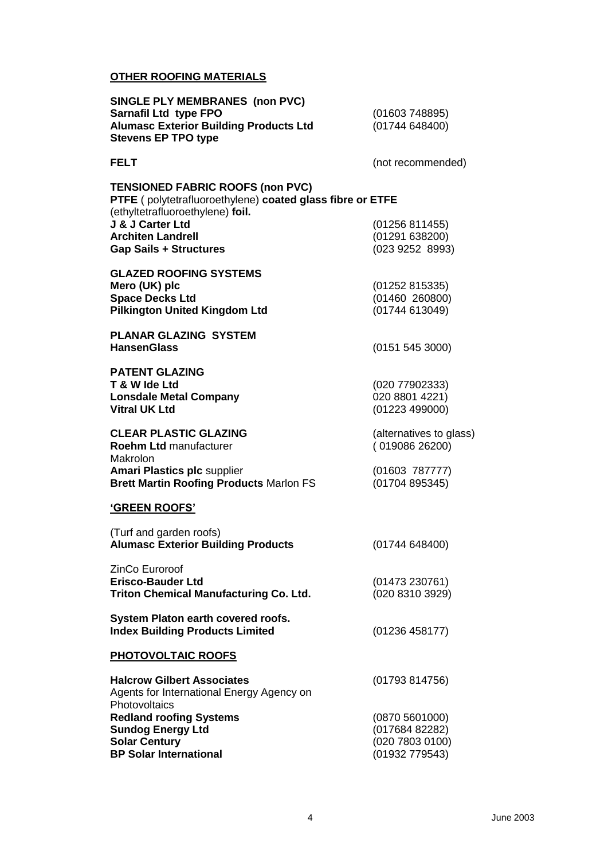# **OTHER ROOFING MATERIALS**

| <b>SINGLE PLY MEMBRANES (non PVC)</b>                                                                                                    |                                                                       |
|------------------------------------------------------------------------------------------------------------------------------------------|-----------------------------------------------------------------------|
| Sarnafil Ltd type FPO<br><b>Alumasc Exterior Building Products Ltd</b><br><b>Stevens EP TPO type</b>                                     | (01603748895)<br>(01744648400)                                        |
| <b>FELT</b>                                                                                                                              | (not recommended)                                                     |
| <b>TENSIONED FABRIC ROOFS (non PVC)</b><br>PTFE (polytetrafluoroethylene) coated glass fibre or ETFE<br>(ethyltetrafluoroethylene) foil. |                                                                       |
| J & J Carter Ltd<br><b>Architen Landrell</b><br><b>Gap Sails + Structures</b>                                                            | (01256811455)<br>(01291638200)<br>(023 9252 8993)                     |
| <b>GLAZED ROOFING SYSTEMS</b><br>Mero (UK) plc<br><b>Space Decks Ltd</b><br><b>Pilkington United Kingdom Ltd</b>                         | (01252815335)<br>(01460 260800)<br>(01744613049)                      |
| <b>PLANAR GLAZING SYSTEM</b><br><b>HansenGlass</b>                                                                                       | (0151 545 3000)                                                       |
| <b>PATENT GLAZING</b><br>T & W Ide Ltd<br><b>Lonsdale Metal Company</b><br><b>Vitral UK Ltd</b>                                          | (020 77902333)<br>020 8801 4221)<br>(01223 499000)                    |
| <b>CLEAR PLASTIC GLAZING</b><br><b>Roehm Ltd manufacturer</b><br>Makrolon                                                                | (alternatives to glass)<br>(019086 26200)                             |
| <b>Amari Plastics plc supplier</b><br><b>Brett Martin Roofing Products Marlon FS</b>                                                     | (01603 787777)<br>(01704895345)                                       |
| <b>'GREEN ROOFS'</b>                                                                                                                     |                                                                       |
| (Turf and garden roofs)<br><b>Alumasc Exterior Building Products</b>                                                                     | (01744648400)                                                         |
| ZinCo Euroroof<br><b>Erisco-Bauder Ltd</b><br><b>Triton Chemical Manufacturing Co. Ltd.</b>                                              | (01473 230761)<br>(020 8310 3929)                                     |
| System Platon earth covered roofs.<br><b>Index Building Products Limited</b>                                                             | (01236458177)                                                         |
| <b>PHOTOVOLTAIC ROOFS</b>                                                                                                                |                                                                       |
| <b>Halcrow Gilbert Associates</b><br>Agents for International Energy Agency on<br>Photovoltaics                                          | (01793814756)                                                         |
| <b>Redland roofing Systems</b><br><b>Sundog Energy Ltd</b><br><b>Solar Century</b><br><b>BP Solar International</b>                      | (0870 5601000)<br>(017684 82282)<br>(020 7803 0100)<br>(01932 779543) |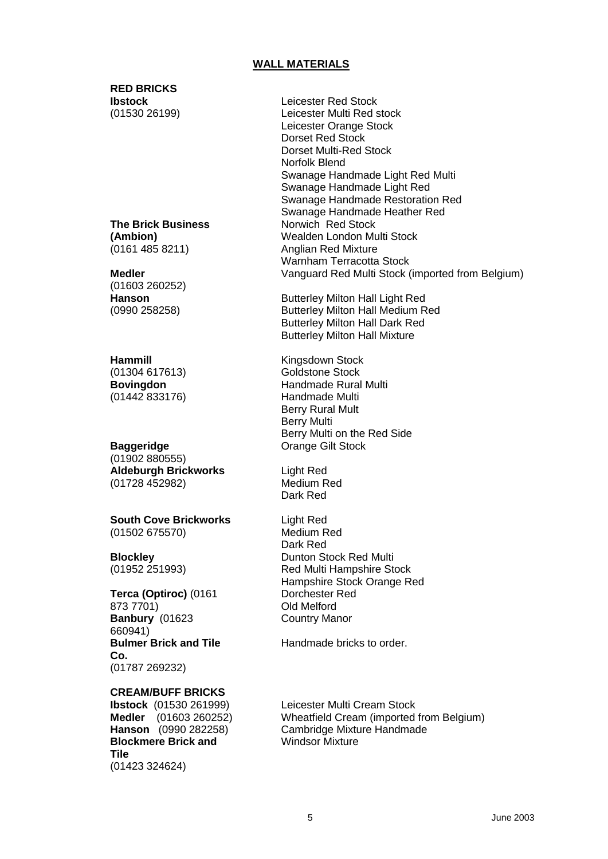# **WALL MATERIALS**

#### **RED BRICKS Ibstock**

(01530 26199)

#### **(Ambion) The Brick Business**  (0161 485 8211)

 **Medler Hanson** (01603 260252) (0990 258258)

#### **Hammill Bovingdon** (01304 617613) (01442 833176)

# **Baggeridge**  (01902 880555) **Aldeburgh Brickworks**  (01728 452982)

**South Cove Brickworks**  (01502 675570)

**Blockley**  (01952 251993)

# **Banbury** (01623 **Terca (Optiroc)** (0161 873 7701) 660941) **Bulmer Brick and Tile Co.**  (01787 269232)

# **CREAM/BUFF BRICKS**

 **Medler** (01603 260252)  **Hanson** (0990 282258) **Ibstock** (01530 261999) **Blockmere Brick and Tile**  (01423 324624)

Leicester Red Stock Leicester Multi Red stock Leicester Orange Stock Dorset Red Stock Dorset Multi-Red Stock Norfolk Blend Swanage Handmade Light Red Multi Swanage Handmade Light Red Swanage Handmade Restoration Red Swanage Handmade Heather Red Norwich Red Stock Wealden London Multi Stock Anglian Red Mixture Warnham Terracotta Stock Vanguard Red Multi Stock (imported from Belgium)

 Butterley Milton Hall Medium Red Butterley Milton Hall Dark Red Butterley Milton Hall Mixture Butterley Milton Hall Light Red

 Berry Rural Mult Berry Multi on the Red Side Orange Gilt Stock Kingsdown Stock Goldstone Stock Handmade Rural Multi Handmade Multi Berry Multi

Light Red Medium Red Dark Red

Light Red Medium Red Dark Red Dunton Stock Red Multi Red Multi Hampshire Stock Hampshire Stock Orange Red Dorchester Red Old Melford Country Manor

Handmade bricks to order.

 Leicester Multi Cream Stock Wheatfield Cream (imported from Belgium) Cambridge Mixture Handmade Windsor Mixture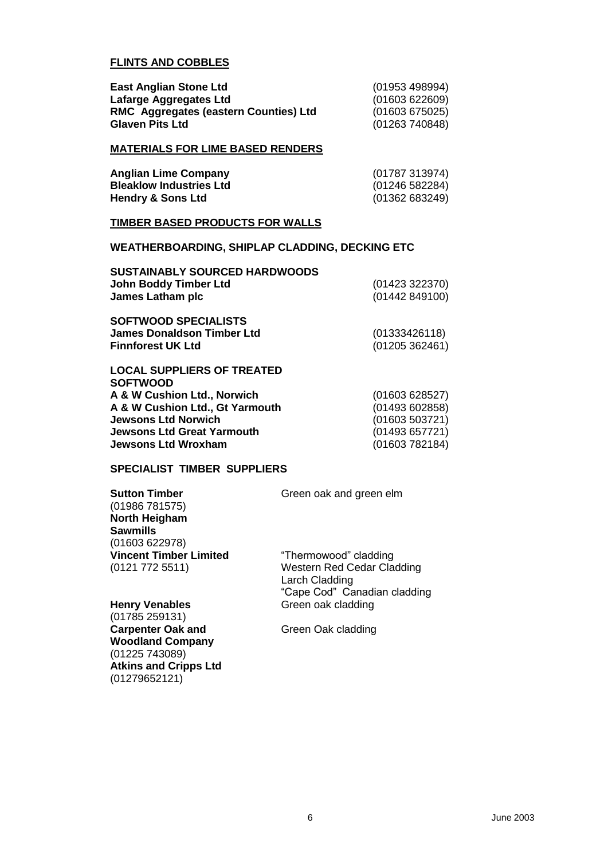# **FLINTS AND COBBLES**

| <b>East Anglian Stone Ltd</b>                | (01953 498994) |
|----------------------------------------------|----------------|
| Lafarge Aggregates Ltd                       | (01603622609)  |
| <b>RMC Aggregates (eastern Counties) Ltd</b> | (01603675025)  |
| <b>Glaven Pits Ltd</b>                       | (01263740848)  |

#### **MATERIALS FOR LIME BASED RENDERS**

| <b>Anglian Lime Company</b>    | (01787 313974) |
|--------------------------------|----------------|
| <b>Bleaklow Industries Ltd</b> | (01246 582284) |
| <b>Hendry &amp; Sons Ltd</b>   | (01362 683249) |

#### **TIMBER BASED PRODUCTS FOR WALLS**

#### **WEATHERBOARDING, SHIPLAP CLADDING, DECKING ETC**

| <b>SUSTAINABLY SOURCED HARDWOODS</b><br><b>John Boddy Timber Ltd</b><br>James Latham plc     | (01423 322370)<br>(01442849100) |
|----------------------------------------------------------------------------------------------|---------------------------------|
| <b>SOFTWOOD SPECIALISTS</b><br><b>James Donaldson Timber Ltd</b><br><b>Finnforest UK Ltd</b> | (01333426118)<br>(01205362461)  |
| <b>LOCAL SUPPLIERS OF TREATED</b><br><b>SOFTWOOD</b>                                         |                                 |
| A & W Cushion Ltd., Norwich                                                                  | (01603628527)                   |
| A & W Cushion Ltd., Gt Yarmouth                                                              | (01493602858)                   |
| <b>Jewsons Ltd Norwich</b>                                                                   | (01603 503721)                  |

 **Jewsons Ltd Great Yarmouth** (01493 657721)

**Jewsons Ltd Wroxham** (01603 782184)

# **SPECIALIST TIMBER SUPPLIERS**

| Sutton Timber<br>(01986 781575)<br><b>North Heigham</b><br>Sawmills | Green oak and green elm                                                             |
|---------------------------------------------------------------------|-------------------------------------------------------------------------------------|
| (01603 622978)                                                      |                                                                                     |
| <b>Vincent Timber Limited</b>                                       | "Thermowood" cladding                                                               |
| (0121 772 5511)                                                     | <b>Western Red Cedar Cladding</b><br>Larch Cladding<br>"Cape Cod" Canadian cladding |
| <b>Henry Venables</b><br>(01785 259131)                             | Green oak cladding                                                                  |

 **Woodland Company**  (01785 259131) Carpenter Oak and **Carpenter Oak and Creen Oak cladding** (01225 743089) **Atkins and Cripps Ltd**  (01279652121)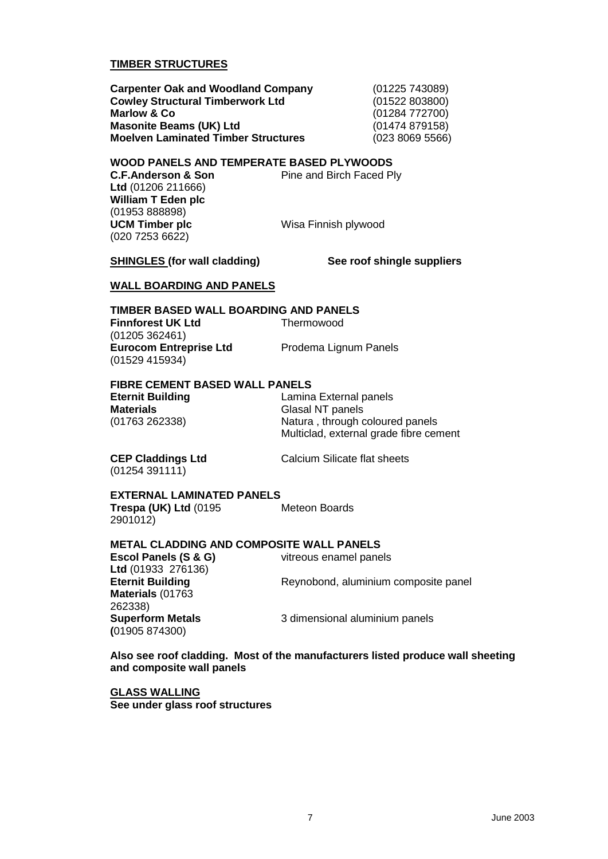# **TIMBER STRUCTURES**

 **Cowley Structural Timberwork Ltd** (01522 803800) **Marlow & Co Carpenter Oak and Woodland Company** (01225 743089) **Masonite Beams (UK) Ltd** (01474 879158) **Moelven Laminated Timber Structures** (023 8069 5566)

**Marlow & Co** (01284 772700)

#### **WOOD PANELS AND TEMPERATE BASED PLYWOODS**

C.F.Anderson & Son **Ltd** (01206 211666) **William T Eden plc**  (01953 888898) **UCM Timber plc** Wisa Finnish plywood (020 7253 6622)

**Pine and Birch Faced Ply** 

**SHINGLES (for wall cladding)** See roof shingle suppliers

#### **WALL BOARDING AND PANELS**

#### **TIMBER BASED WALL BOARDING AND PANELS**

**Finnforest UK Ltd** Thermowood (01205 362461) **Eurocom Entreprise Ltd** Prodema Lignum Panels (01529 415934)

#### **FIBRE CEMENT BASED WALL PANELS**

 Multiclad, external grade fibre cement **Eternit Building** Lamina External panels **Materials Glasal NT** panels (01763 262338) Natura , through coloured panels

(01254 391111)

**CEP Claddings Ltd** Calcium Silicate flat sheets

vitreous enamel panels

# **EXTERNAL LAMINATED PANELS**

**Trespa (UK) Ltd** (0195 Meteon Boards 2901012)

# **METAL CLADDING AND COMPOSITE WALL PANELS**

Escol Panels (S & G) **Ltd** (01933 276136) **Materials** (01763 262338) **(**01905 874300)

**Eternit Building Reynobond, aluminium composite panel** 

**Superform Metals** 3 dimensional aluminium panels

 **Also see roof cladding. Most of the manufacturers listed produce wall sheeting and composite wall panels** 

**GLASS WALLING See under glass roof structures**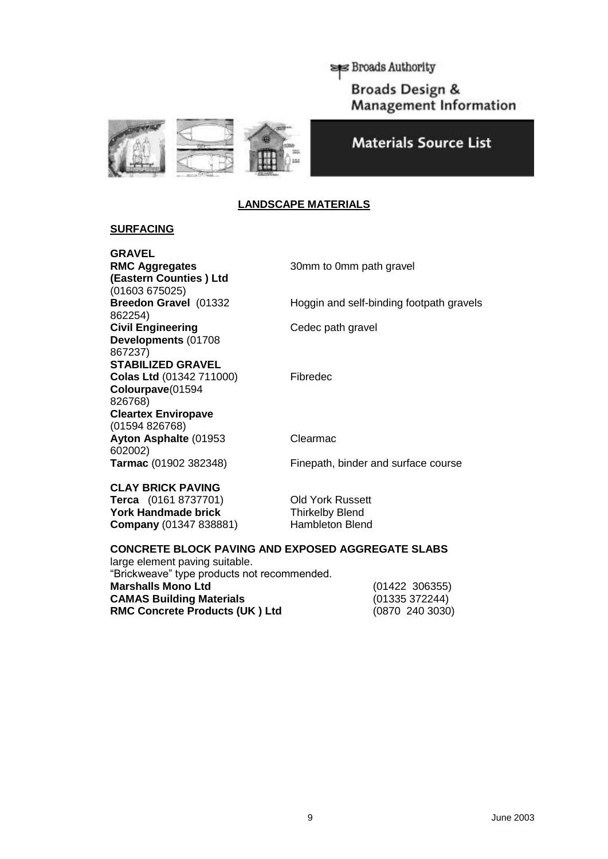Broads Authority **Broads Design & Management Information** 





# **LANDSCAPE MATERIALS**

# **SURFACING**

 **RMC Aggregates** 30mm to 0mm path gravel Breedon Gravel (01332 **GRAVEL (Eastern Counties ) Ltd**  (01603 675025) Hoggin and self-binding footpath gravels 862254) **Civil Engineering Cedec path gravel Developments** (01708 867237) **STABILIZED GRAVEL Colas Ltd** (01342 711000) Fibredec **Colourpave**(01594 826768) **Cleartex Enviropave**  (01594 826768) Ayton Asphalte (01953 Clearmac 602002) **Tarmac** (01902 382348) Finepath, binder and surface course

 **CLAY BRICK PAVING** 

 **Terca** (0161 8737701) Old York Russett York Handmade brick **Thirkelby Blend Company** (01347 838881) Hambleton Blend

#### **CONCRETE BLOCK PAVING AND EXPOSED AGGREGATE SLABS**

**RMC Concrete Products (UK ) Ltd** (0870 240 3030) large element paving suitable. "Brickweave" type products not recommended. **Marshalls Mono Ltd** (01422 306355) **CAMAS Building Materials** 

 $(01335372244)$